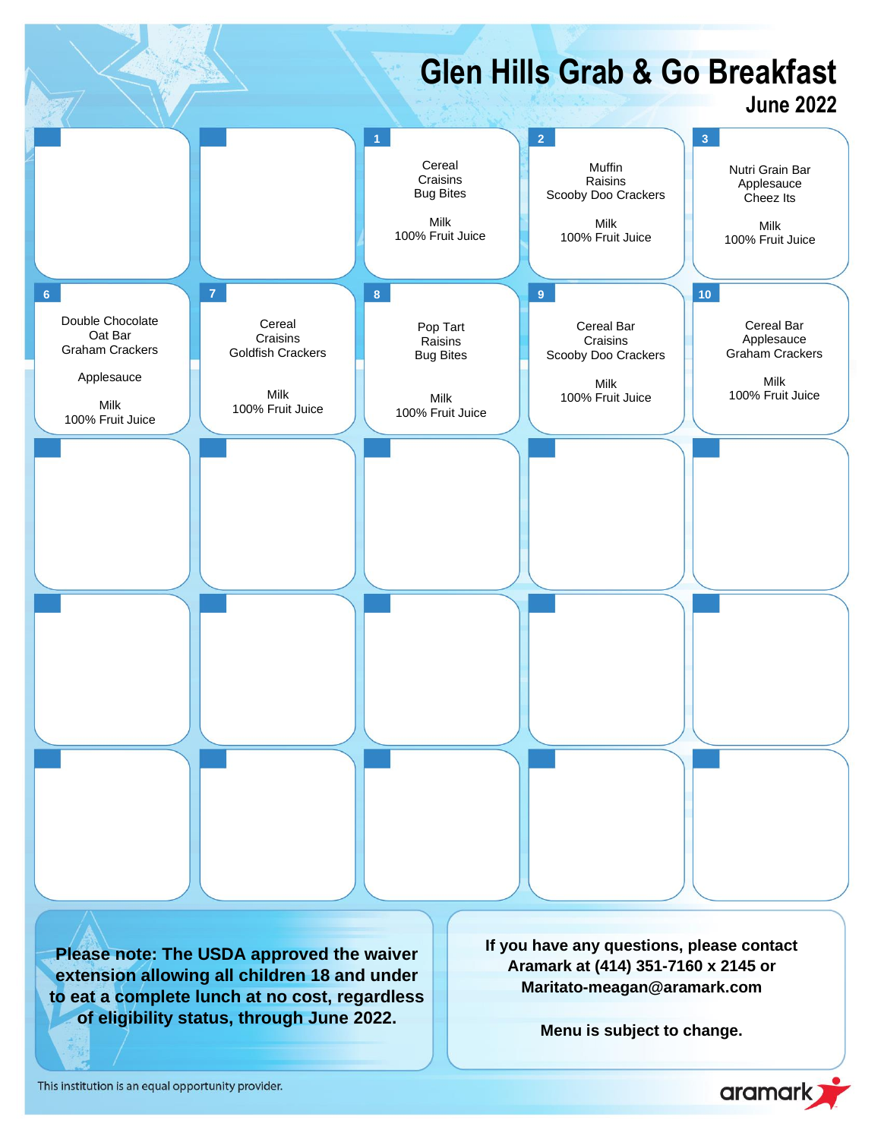

This institution is an equal opportunity provider.

aramark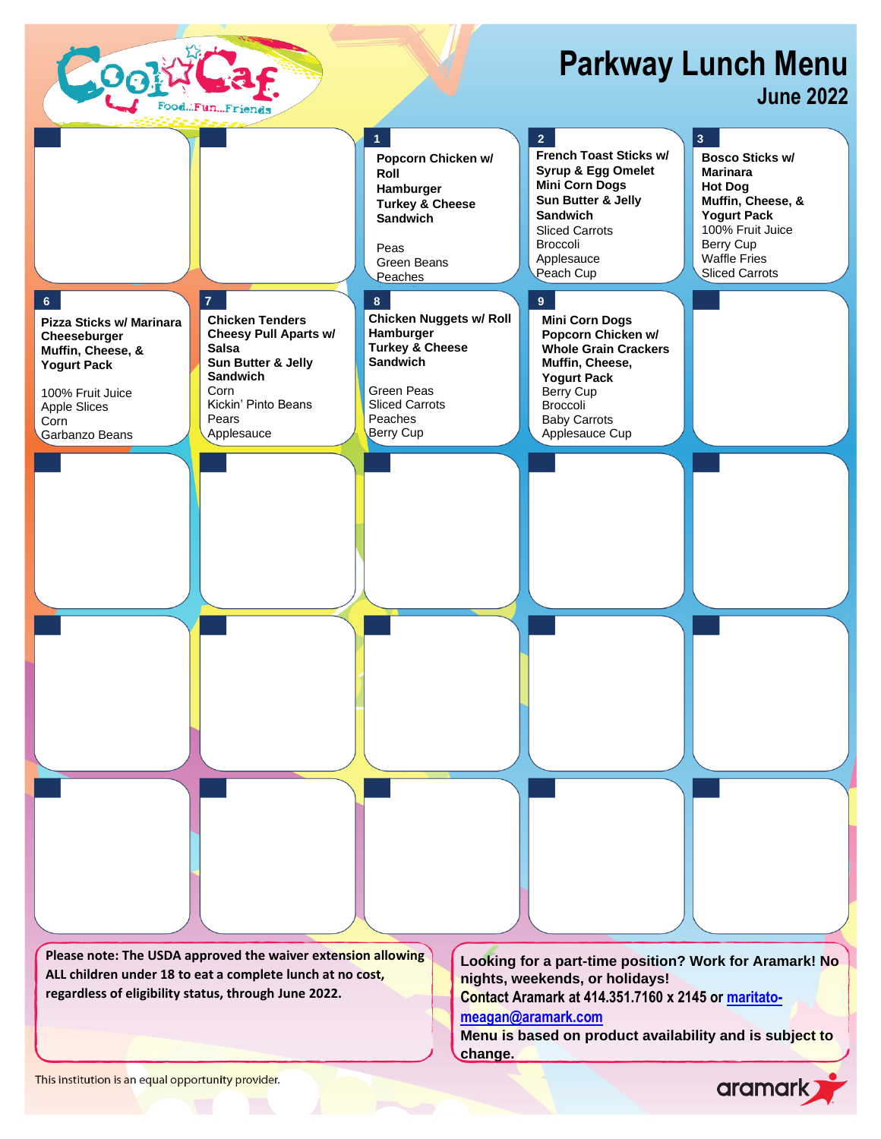

## aramark